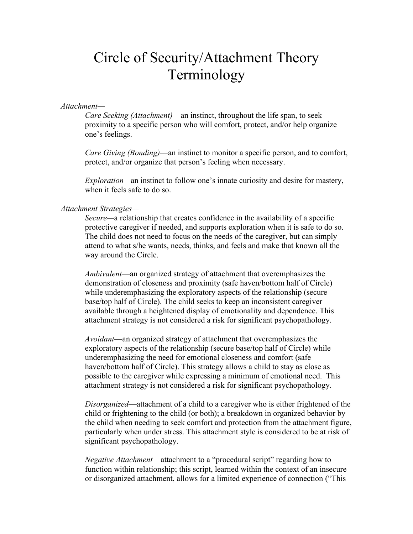# Circle of Security/Attachment Theory Terminology

#### *Attachment—*

*Care Seeking (Attachment)*—an instinct, throughout the life span, to seek proximity to a specific person who will comfort, protect, and/or help organize one's feelings.

*Care Giving (Bonding)*—an instinct to monitor a specific person, and to comfort, protect, and/or organize that person's feeling when necessary.

*Exploration—*an instinct to follow one's innate curiosity and desire for mastery, when it feels safe to do so.

#### *Attachment Strategies—*

*Secure—*a relationship that creates confidence in the availability of a specific protective caregiver if needed, and supports exploration when it is safe to do so. The child does not need to focus on the needs of the caregiver, but can simply attend to what s/he wants, needs, thinks, and feels and make that known all the way around the Circle.

*Ambivalent*—an organized strategy of attachment that overemphasizes the demonstration of closeness and proximity (safe haven/bottom half of Circle) while underemphasizing the exploratory aspects of the relationship (secure base/top half of Circle). The child seeks to keep an inconsistent caregiver available through a heightened display of emotionality and dependence. This attachment strategy is not considered a risk for significant psychopathology.

*Avoidant*—an organized strategy of attachment that overemphasizes the exploratory aspects of the relationship (secure base/top half of Circle) while underemphasizing the need for emotional closeness and comfort (safe haven/bottom half of Circle). This strategy allows a child to stay as close as possible to the caregiver while expressing a minimum of emotional need. This attachment strategy is not considered a risk for significant psychopathology.

*Disorganized*—attachment of a child to a caregiver who is either frightened of the child or frightening to the child (or both); a breakdown in organized behavior by the child when needing to seek comfort and protection from the attachment figure, particularly when under stress. This attachment style is considered to be at risk of significant psychopathology.

*Negative Attachment*—attachment to a "procedural script" regarding how to function within relationship; this script, learned within the context of an insecure or disorganized attachment, allows for a limited experience of connection ("This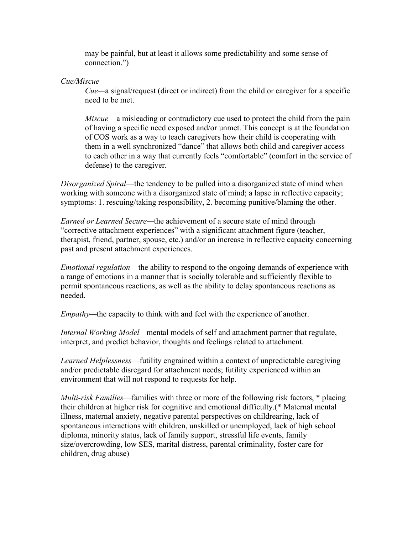may be painful, but at least it allows some predictability and some sense of connection.")

## *Cue/Miscue*

*Cue—*a signal/request (direct or indirect) from the child or caregiver for a specific need to be met.

*Miscue*—a misleading or contradictory cue used to protect the child from the pain of having a specific need exposed and/or unmet. This concept is at the foundation of COS work as a way to teach caregivers how their child is cooperating with them in a well synchronized "dance" that allows both child and caregiver access to each other in a way that currently feels "comfortable" (comfort in the service of defense) to the caregiver.

*Disorganized Spiral*—the tendency to be pulled into a disorganized state of mind when working with someone with a disorganized state of mind; a lapse in reflective capacity; symptoms: 1. rescuing/taking responsibility, 2. becoming punitive/blaming the other.

*Earned or Learned Secure—*the achievement of a secure state of mind through "corrective attachment experiences" with a significant attachment figure (teacher, therapist, friend, partner, spouse, etc.) and/or an increase in reflective capacity concerning past and present attachment experiences.

*Emotional regulation*—the ability to respond to the ongoing demands of experience with a range of emotions in a manner that is socially tolerable and sufficiently flexible to permit spontaneous reactions, as well as the ability to delay spontaneous reactions as needed.

*Empathy—*the capacity to think with and feel with the experience of another.

*Internal Working Model—*mental models of self and attachment partner that regulate, interpret, and predict behavior, thoughts and feelings related to attachment.

*Learned Helplessness*—futility engrained within a context of unpredictable caregiving and/or predictable disregard for attachment needs; futility experienced within an environment that will not respond to requests for help.

*Multi-risk Families*—families with three or more of the following risk factors, \* placing their children at higher risk for cognitive and emotional difficulty.(\* Maternal mental illness, maternal anxiety, negative parental perspectives on childrearing, lack of spontaneous interactions with children, unskilled or unemployed, lack of high school diploma, minority status, lack of family support, stressful life events, family size/overcrowding, low SES, marital distress, parental criminality, foster care for children, drug abuse)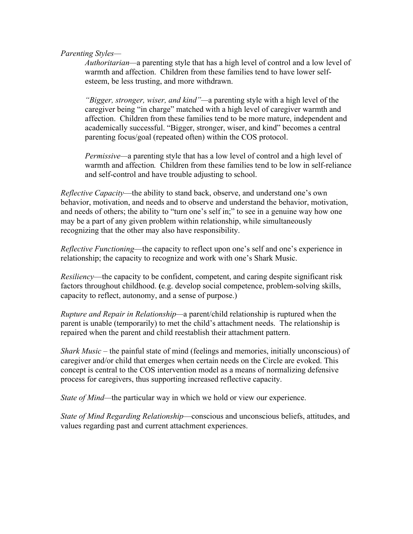*Parenting Styles—*

*Authoritarian—*a parenting style that has a high level of control and a low level of warmth and affection. Children from these families tend to have lower selfesteem, be less trusting, and more withdrawn.

*"Bigger, stronger, wiser, and kind"—*a parenting style with a high level of the caregiver being "in charge" matched with a high level of caregiver warmth and affection. Children from these families tend to be more mature, independent and academically successful. "Bigger, stronger, wiser, and kind" becomes a central parenting focus/goal (repeated often) within the COS protocol.

*Permissive—*a parenting style that has a low level of control and a high level of warmth and affection*.* Children from these families tend to be low in self-reliance and self-control and have trouble adjusting to school.

*Reflective Capacity*—the ability to stand back, observe, and understand one's own behavior, motivation, and needs and to observe and understand the behavior, motivation, and needs of others; the ability to "turn one's self in;" to see in a genuine way how one may be a part of any given problem within relationship, while simultaneously recognizing that the other may also have responsibility.

*Reflective Functioning*—the capacity to reflect upon one's self and one's experience in relationship; the capacity to recognize and work with one's Shark Music.

*Resiliency*—the capacity to be confident, competent, and caring despite significant risk factors throughout childhood. **(**e.g. develop social competence, problem-solving skills, capacity to reflect, autonomy, and a sense of purpose.)

*Rupture and Repair in Relationship—*a parent/child relationship is ruptured when the parent is unable (temporarily) to met the child's attachment needs. The relationship is repaired when the parent and child reestablish their attachment pattern.

*Shark Music –* the painful state of mind (feelings and memories, initially unconscious) of caregiver and/or child that emerges when certain needs on the Circle are evoked. This concept is central to the COS intervention model as a means of normalizing defensive process for caregivers, thus supporting increased reflective capacity.

*State of Mind—the particular way in which we hold or view our experience.* 

*State of Mind Regarding Relationship*—conscious and unconscious beliefs, attitudes, and values regarding past and current attachment experiences.